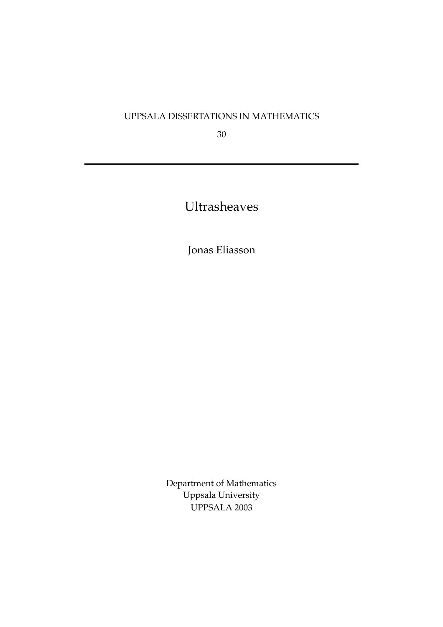# UPPSALA DISSERTATIONS IN MATHEMATICS

30

Ultrasheaves

Jonas Eliasson

Department of Mathematics Uppsala University UPPSALA 2003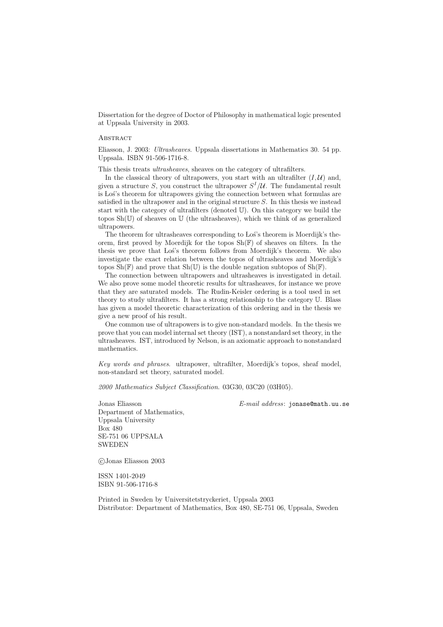Dissertation for the degree of Doctor of Philosophy in mathematical logic presented at Uppsala University in 2003.

# **ABSTRACT**

Eliasson, J. 2003: Ultrasheaves. Uppsala dissertations in Mathematics 30. 54 pp. Uppsala. ISBN 91-506-1716-8.

This thesis treats ultrasheaves, sheaves on the category of ultrafilters.

In the classical theory of ultrapowers, you start with an ultrafilter  $(I, \mathcal{U})$  and, given a structure S, you construct the ultrapower  $S^{I}/\mathcal{U}$ . The fundamental result is Los's theorem for ultrapowers giving the connection between what formulas are satisfied in the ultrapower and in the original structure  $S$ . In this thesis we instead start with the category of ultrafilters (denoted U). On this category we build the topos  $\text{Sh}(\mathbb{U})$  of sheaves on  $\mathbb{U}$  (the ultrasheaves), which we think of as generalized ultrapowers.

The theorem for ultrasheaves corresponding to Los's theorem is Moerdijk's theorem, first proved by Moerdijk for the topos  $\text{Sh}(\mathbb{F})$  of sheaves on filters. In the thesis we prove that Los's theorem follows from Moerdijk's theorem. We also investigate the exact relation between the topos of ultrasheaves and Moerdijk's topos  $\text{Sh}(\mathbb{F})$  and prove that  $\text{Sh}(\mathbb{U})$  is the double negation subtopos of  $\text{Sh}(\mathbb{F})$ .

The connection between ultrapowers and ultrasheaves is investigated in detail. We also prove some model theoretic results for ultrasheaves, for instance we prove that they are saturated models. The Rudin-Keisler ordering is a tool used in set theory to study ultrafilters. It has a strong relationship to the category U. Blass has given a model theoretic characterization of this ordering and in the thesis we give a new proof of his result.

One common use of ultrapowers is to give non-standard models. In the thesis we prove that you can model internal set theory (IST), a nonstandard set theory, in the ultrasheaves. IST, introduced by Nelson, is an axiomatic approach to nonstandard mathematics.

Key words and phrases. ultrapower, ultrafilter, Moerdijk's topos, sheaf model, non-standard set theory, saturated model.

2000 Mathematics Subject Classification. 03G30, 03C20 (03H05).

Jonas Eliasson E-mail address: jonase@math.uu.se Department of Mathematics, Uppsala University Box 480 SE-751 06 UPPSALA SWEDEN

!c Jonas Eliasson 2003

ISSN 1401-2049 ISBN 91-506-1716-8

Printed in Sweden by Universitetstryckeriet, Uppsala 2003 Distributor: Department of Mathematics, Box 480, SE-751 06, Uppsala, Sweden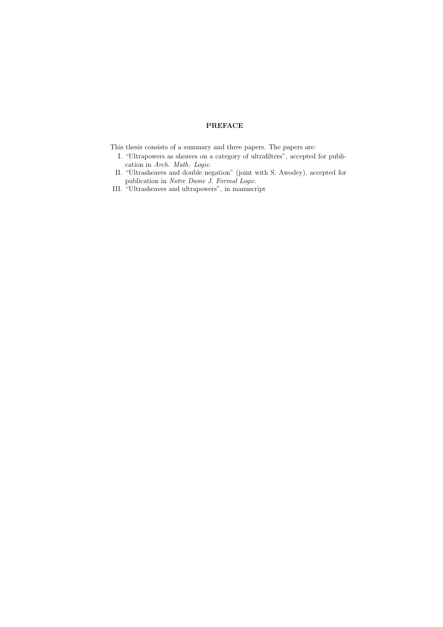# PREFACE

This thesis consists of a summary and three papers. The papers are:

- I. "Ultrapowers as sheaves on a category of ultrafilters", accepted for publication in Arch. Math. Logic.
- II. "Ultrasheaves and double negation" (joint with S. Awodey), accepted for publication in Notre Dame J. Formal Logic.
- III. "Ultrasheaves and ultrapowers", in manuscript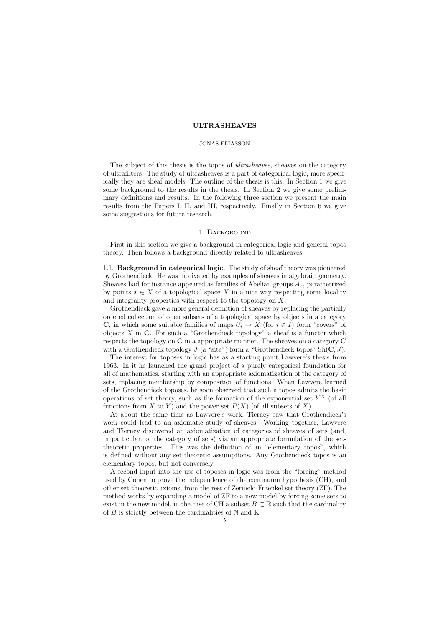### JONAS ELIASSON

The subject of this thesis is the topos of *ultrasheaves*, sheaves on the category of ultrafilters. The study of ultrasheaves is a part of categorical logic, more specifically they are sheaf models. The outline of the thesis is this. In Section 1 we give some background to the results in the thesis. In Section 2 we give some preliminary definitions and results. In the following three section we present the main results from the Papers I, II, and III, respectively. Finally in Section 6 we give some suggestions for future research.

# 1. Background

First in this section we give a background in categorical logic and general topos theory. Then follows a background directly related to ultrasheaves.

1.1. Background in categorical logic. The study of sheaf theory was pioneered by Grothendieck. He was motivated by examples of sheaves in algebraic geometry. Sheaves had for instance appeared as families of Abelian groups  $A<sub>x</sub>$ , parametrized by points  $x \in X$  of a topological space X in a nice way respecting some locality and integrality properties with respect to the topology on X.

Grothendieck gave a more general definition of sheaves by replacing the partially ordered collection of open subsets of a topological space by objects in a category **C**, in which some suitable families of maps  $U_i \to X$  (for  $i \in I$ ) form "covers" of objects  $X$  in  $C$ . For such a "Grothendieck topology" a sheaf is a functor which respects the topology on C in a appropriate manner. The sheaves on a category C with a Grothendieck topology  $J$  (a "site") form a "Grothendieck topos"  $Sh(C, J)$ .

The interest for toposes in logic has as a starting point Lawvere's thesis from 1963. In it he launched the grand project of a purely categorical foundation for all of mathematics, starting with an appropriate axiomatization of the category of sets, replacing membership by composition of functions. When Lawvere learned of the Grothendieck toposes, he soon observed that such a topos admits the basic operations of set theory, such as the formation of the exponential set  $Y^X$  (of all functions from X to Y) and the power set  $P(X)$  (of all subsets of X).

At about the same time as Lawvere's work, Tierney saw that Grothendieck's work could lead to an axiomatic study of sheaves. Working together, Lawvere and Tierney discovered an axiomatization of categories of sheaves of sets (and, in particular, of the category of sets) via an appropriate formulation of the settheoretic properties. This was the definition of an "elementary topos", which is defined without any set-theoretic assumptions. Any Grothendieck topos is an elementary topos, but not conversely.

A second input into the use of toposes in logic was from the "forcing" method used by Cohen to prove the independence of the continuum hypothesis (CH), and other set-theoretic axioms, from the rest of Zermelo-Fraenkel set theory (ZF). The method works by expanding a model of ZF to a new model by forcing some sets to exist in the new model, in the case of CH a subset  $B \subset \mathbb{R}$  such that the cardinality of  $B$  is strictly between the cardinalities of  $\mathbb N$  and  $\mathbb R$ .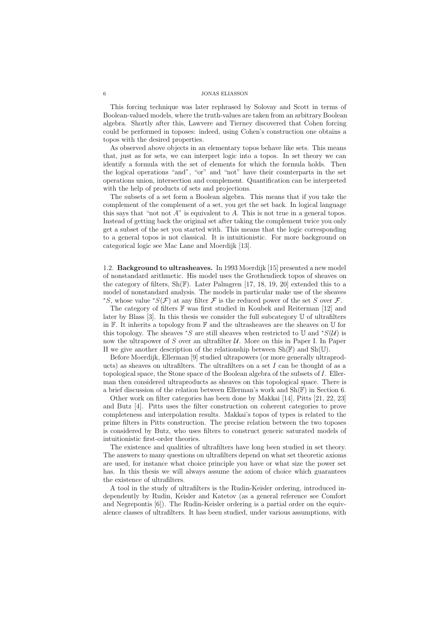This forcing technique was later rephrased by Solovay and Scott in terms of Boolean-valued models, where the truth-values are taken from an arbitrary Boolean algebra. Shortly after this, Lawvere and Tierney discovered that Cohen forcing could be performed in toposes: indeed, using Cohen's construction one obtains a topos with the desired properties.

As observed above objects in an elementary topos behave like sets. This means that, just as for sets, we can interpret logic into a topos. In set theory we can identify a formula with the set of elements for which the formula holds. Then the logical operations "and", "or" and "not" have their counterparts in the set operations union, intersection and complement. Quantification can be interpreted with the help of products of sets and projections.

The subsets of a set form a Boolean algebra. This means that if you take the complement of the complement of a set, you get the set back. In logical language this says that "not not  $A$ " is equivalent to  $A$ . This is not true in a general topos. Instead of getting back the original set after taking the complement twice you only get a subset of the set you started with. This means that the logic corresponding to a general topos is not classical. It is intuitionistic. For more background on categorical logic see Mac Lane and Moerdijk [13].

1.2. Background to ultrasheaves. In 1993 Moerdijk [15] presented a new model of nonstandard arithmetic. His model uses the Grothendieck topos of sheaves on the category of filters,  $\text{Sh}(\mathbb{F})$ . Later Palmgren [17, 18, 19, 20] extended this to a model of nonstandard analysis. The models in particular make use of the sheaves <sup>∗</sup>S, whose value <sup>∗</sup>S(F) at any filter F is the reduced power of the set S over F.

The category of filters  $\mathbb F$  was first studied in Koubek and Reiterman [12] and later by Blass [3]. In this thesis we consider the full subcategory U of ultrafilters in F. It inherits a topology from F and the ultrasheaves are the sheaves on U for this topology. The sheaves \*S are still sheaves when restricted to U and \* $S(\mathcal{U})$  is now the ultrapower of  $S$  over an ultrafilter  $U$ . More on this in Paper I. In Paper II we give another description of the relationship between  $\text{Sh}(\mathbb{F})$  and  $\text{Sh}(\mathbb{U})$ .

Before Moerdijk, Ellerman [9] studied ultrapowers (or more generally ultraproducts) as sheaves on ultrafilters. The ultrafilters on a set  $I$  can be thought of as a topological space, the Stone space of the Boolean algebra of the subsets of I. Ellerman then considered ultraproducts as sheaves on this topological space. There is a brief discussion of the relation between Ellerman's work and Sh(F) in Section 6.

Other work on filter categories has been done by Makkai [14], Pitts [21, 22, 23] and Butz [4]. Pitts uses the filter construction on coherent categories to prove completeness and interpolation results. Makkai's topos of types is related to the prime filters in Pitts construction. The precise relation between the two toposes is considered by Butz, who uses filters to construct generic saturated models of intuitionistic first-order theories.

The existence and qualities of ultrafilters have long been studied in set theory. The answers to many questions on ultrafilters depend on what set theoretic axioms are used, for instance what choice principle you have or what size the power set has. In this thesis we will always assume the axiom of choice which guarantees the existence of ultrafilters.

A tool in the study of ultrafilters is the Rudin-Keisler ordering, introduced independently by Rudin, Keisler and Katetov (as a general reference see Comfort and Negrepontis [6]). The Rudin-Keisler ordering is a partial order on the equivalence classes of ultrafilters. It has been studied, under various assumptions, with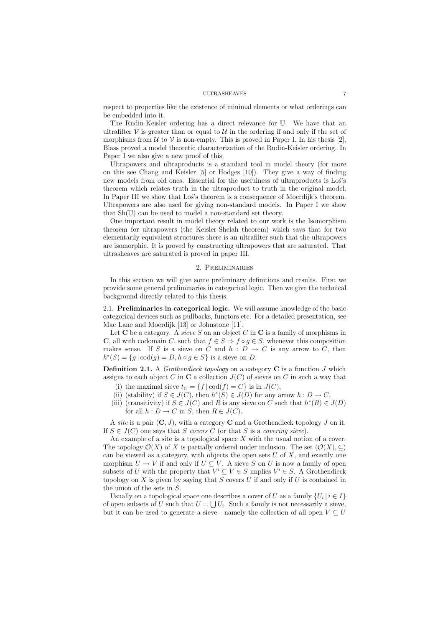respect to properties like the existence of minimal elements or what orderings can be embedded into it.

The Rudin-Keisler ordering has a direct relevance for U. We have that an ultrafilter  $\mathcal V$  is greater than or equal to  $\mathcal U$  in the ordering if and only if the set of morphisms from  $\mathcal U$  to  $\mathcal V$  is non-empty. This is proved in Paper I. In his thesis [2], Blass proved a model theoretic characterization of the Rudin-Keisler ordering. In Paper I we also give a new proof of this.

Ultrapowers and ultraproducts is a standard tool in model theory (for more on this see Chang and Keisler [5] or Hodges [10]). They give a way of finding new models from old ones. Essential for the usefulness of ultraproducts is Los's theorem which relates truth in the ultraproduct to truth in the original model. In Paper III we show that Los's theorem is a consequence of Moerdijk's theorem. Ultrapowers are also used for giving non-standard models. In Paper I we show that Sh(U) can be used to model a non-standard set theory.

One important result in model theory related to our work is the Isomorphism theorem for ultrapowers (the Keisler-Shelah theorem) which says that for two elementarily equivalent structures there is an ultrafilter such that the ultrapowers are isomorphic. It is proved by constructing ultrapowers that are saturated. That ultrasheaves are saturated is proved in paper III.

# 2. Preliminaries

In this section we will give some preliminary definitions and results. First we provide some general preliminaries in categorical logic. Then we give the technical background directly related to this thesis.

2.1. Preliminaries in categorical logic. We will assume knowledge of the basic categorical devices such as pullbacks, functors etc. For a detailed presentation, see Mac Lane and Moerdijk [13] or Johnstone [11].

Let **C** be a category. A sieve S on an object C in **C** is a family of morphisms in C, all with codomain C, such that  $f \in S \Rightarrow f \circ g \in S$ , whenever this composition makes sense. If S is a sieve on C and h :  $D \to C$  is any arrow to C, then  $h^*(S) = \{g \mid \text{cod}(g) = D, h \circ g \in S\}$  is a sieve on D.

**Definition 2.1.** A *Grothendieck topology* on a category  $C$  is a function  $J$  which assigns to each object C in C a collection  $J(C)$  of sieves on C in such a way that

- (i) the maximal sieve  $t_C = \{f | \text{cod}(f) = C\}$  is in  $J(C)$ ,
- (ii) (stability) if  $S \in J(C)$ , then  $h^*(S) \in J(D)$  for any arrow  $h: D \to C$ ,
- (iii) (transitivity) if  $S \in J(C)$  and R is any sieve on C such that  $h^*(R) \in J(D)$ for all  $h: D \to C$  in S, then  $R \in J(C)$ .

A site is a pair  $(C, J)$ , with a category C and a Grothendieck topology J on it. If  $S \in J(C)$  one says that S covers C (or that S is a covering sieve).

An example of a site is a topological space  $X$  with the usual notion of a cover. The topology  $\mathcal{O}(X)$  of X is partially ordered under inclusion. The set  $(\mathcal{O}(X), \subset)$ can be viewed as a category, with objects the open sets  $U$  of  $X$ , and exactly one morphism  $U \to V$  if and only if  $U \subset V$ . A sieve S on U is now a family of open subsets of U with the property that  $V' \subseteq V \in S$  implies  $V' \in S$ . A Grothendieck topology on X is given by saying that S covers U if and only if U is contained in the union of the sets in S.

Usually on a topological space one describes a cover of U as a family  $\{U_i | i \in I\}$ of open subsets of U such that  $U = \bigcup U_i$ . Such a family is not necessarily a sieve, but it can be used to generate a sieve - namely the collection of all open  $V \subseteq U$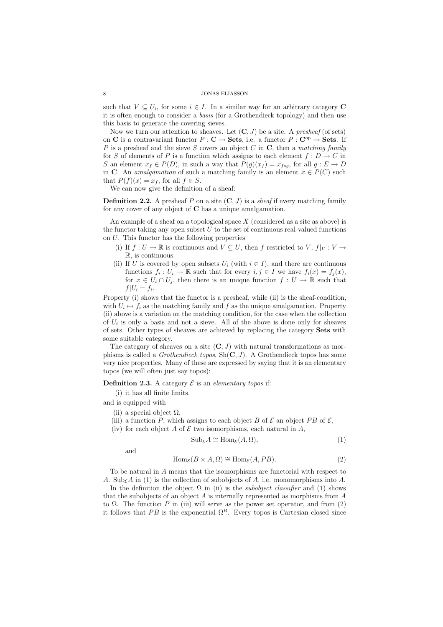such that  $V \subseteq U_i$ , for some  $i \in I$ . In a similar way for an arbitrary category C it is often enough to consider a basis (for a Grothendieck topology) and then use this basis to generate the covering sieves.

Now we turn our attention to sheaves. Let  $(C, J)$  be a site. A presheaf (of sets) on C is a contravariant functor  $P: \mathbf{C} \to \mathbf{Sets}$ , i.e. a functor  $P: \mathbf{C}^{\mathrm{op}} \to \mathbf{Sets}$ . If P is a presheaf and the sieve S covers an object C in C, then a matching family for S of elements of P is a function which assigns to each element  $f: D \to C$  in S an element  $x_f \in P(D)$ , in such a way that  $P(g)(x_f) = x_{f \circ q}$ , for all  $g : E \to D$ in C. An *amalgamation* of such a matching family is an element  $x \in P(C)$  such that  $P(f)(x) = x_f$ , for all  $f \in S$ .

We can now give the definition of a sheaf:

**Definition 2.2.** A presheaf P on a site  $(C, J)$  is a *sheaf* if every matching family for any cover of any object of C has a unique amalgamation.

An example of a sheaf on a topological space  $X$  (considered as a site as above) is the functor taking any open subset  $U$  to the set of continuous real-valued functions on U. This functor has the following properties

- (i) If  $f: U \to \mathbb{R}$  is continuous and  $V \subseteq U$ , then f restricted to  $V, f|_V : V \to$ R, is continuous.
- (ii) If U is covered by open subsets  $U_i$  (with  $i \in I$ ), and there are continuous functions  $f_i: U_i \to \mathbb{R}$  such that for every  $i, j \in I$  we have  $f_i(x) = f_i(x)$ , for  $x \in U_i \cap U_j$ , then there is an unique function  $f: U \to \mathbb{R}$  such that  $f|U_i = f_i.$

Property (i) shows that the functor is a presheaf, while (ii) is the sheaf-condition, with  $U_i \mapsto f_i$  as the matching family and f as the unique amalgamation. Property (ii) above is a variation on the matching condition, for the case when the collection of  $U_i$  is only a basis and not a sieve. All of the above is done only for sheaves of sets. Other types of sheaves are achieved by replacing the category Sets with some suitable category.

The category of sheaves on a site  $(C, J)$  with natural transformations as morphisms is called a *Grothendieck topos*,  $Sh(C, J)$ . A Grothendieck topos has some very nice properties. Many of these are expressed by saying that it is an elementary topos (we will often just say topos):

**Definition 2.3.** A category  $\mathcal{E}$  is an elementary topos if:

(i) it has all finite limits,

and is equipped with

- (ii) a special object  $\Omega$ .
- (iii) a function P, which assigns to each object B of  $\mathcal E$  an object PB of  $\mathcal E$ .
- (iv) for each object A of  $\mathcal E$  two isomorphisms, each natural in A,

$$
\mathrm{Sub}_{\mathcal{E}}A \cong \mathrm{Hom}_{\mathcal{E}}(A,\Omega),\tag{1}
$$

and

$$
\text{Hom}_{\mathcal{E}}(B \times A, \Omega) \cong \text{Hom}_{\mathcal{E}}(A, PB). \tag{2}
$$

To be natural in A means that the isomorphisms are functorial with respect to A. Sub<sub> $\epsilon$ </sub>A in (1) is the collection of subobjects of A, i.e. monomorphisms into A.

In the definition the object  $\Omega$  in (ii) is the *subobject classifier* and (1) shows that the subobjects of an object  $A$  is internally represented as morphisms from  $A$ to  $\Omega$ . The function P in (iii) will serve as the power set operator, and from (2) it follows that PB is the exponential  $\Omega^B$ . Every topos is Cartesian closed since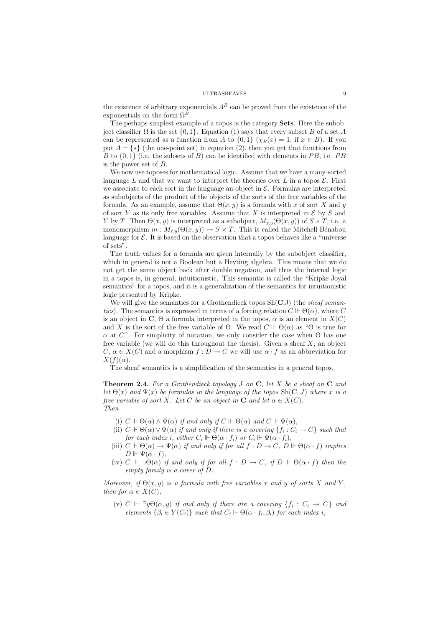the existence of arbitrary exponentials  $A^B$  can be proved from the existence of the exponentials on the form  $\Omega^B$ .

The perhaps simplest example of a topos is the category Sets. Here the subobject classifier  $\Omega$  is the set  $\{0, 1\}$ . Equation (1) says that every subset B of a set A can be represented as a function from A to  $\{0,1\}$  ( $\chi_B(x) = 1$ , if  $x \in B$ ). If you put  $A = \{*\}$  (the one-point set) in equation (2), then you get that functions from B to  $\{0,1\}$  (i.e. the subsets of B) can be identified with elements in PB, i.e. PB is the power set of B.

We now use toposes for mathematical logic. Assume that we have a many-sorted language L and that we want to interpret the theories over L in a topos  $\mathcal{E}$ . First we associate to each sort in the language an object in  $\mathcal{E}$ . Formulas are interpreted as subobjects of the product of the objects of the sorts of the free variables of the formula. As an example, assume that  $\Theta(x, y)$  is a formula with x of sort X and y of sort Y as its only free variables. Assume that X is interpreted in  $\mathcal E$  by S and Y by T. Then  $\Theta(x, y)$  is interpreted as a subobject,  $M_{x,y}(\Theta(x, y))$  of  $S \times T$ , i.e. a monomorphism  $m : M_{x,y}(\Theta(x, y)) \to S \times T$ . This is called the Mitchell-Bénabou language for  $\mathcal E$ . It is based on the observation that a topos behaves like a "universe of sets".

The truth values for a formula are given internally by the subobject classifier, which in general is not a Boolean but a Heyting algebra. This means that we do not get the same object back after double negation, and thus the internal logic in a topos is, in general, intuitionistic. This semantic is called the "Kripke-Joyal semantics" for a topos, and it is a generalization of the semantics for intuitionistic logic presented by Kripke.

We will give the semantics for a Grothendieck topos  $Sh(C, J)$  (the *sheaf seman*tics). The semantics is expressed in terms of a forcing relation  $C \Vdash \Theta(\alpha)$ , where C is an object in C,  $\Theta$  a formula interpreted in the topos,  $\alpha$  is an element in  $X(C)$ and X is the sort of the free variable of  $\Theta$ . We read  $C \Vdash \Theta(\alpha)$  as " $\Theta$  is true for  $\alpha$  at C". For simplicity of notation, we only consider the case when  $\Theta$  has one free variable (we will do this throughout the thesis). Given a sheaf  $X$ , an object  $C, \alpha \in X(C)$  and a morphism  $f: D \to C$  we will use  $\alpha \cdot f$  as an abbreviation for  $X(f)(\alpha)$ .

The sheaf semantics is a simplification of the semantics in a general topos.

**Theorem 2.4.** For a Grothendieck topology  $J$  on  $C$ , let  $X$  be a sheaf on  $C$  and let  $\Theta(x)$  and  $\Psi(x)$  be formulas in the language of the topos  $\text{Sh}(\mathbf{C}, J)$  where x is a free variable of sort X. Let C be an object in C and let  $\alpha \in X(C)$ . Then

- (i)  $C \Vdash \Theta(\alpha) \wedge \Psi(\alpha)$  if and only if  $C \Vdash \Theta(\alpha)$  and  $C \Vdash \Psi(\alpha)$ ,
- (ii)  $C \Vdash \Theta(\alpha) \vee \Psi(\alpha)$  if and only if there is a covering  $\{f_i : C_i \to C\}$  such that for each index i, either  $C_i \Vdash \Theta(\alpha \cdot f_i)$  or  $C_i \Vdash \Psi(\alpha \cdot f_i)$ ,
- (iii)  $C \Vdash \Theta(\alpha) \to \Psi(\alpha)$  if and only if for all  $f : D \to C$ ,  $D \Vdash \Theta(\alpha \cdot f)$  implies  $D \Vdash \Psi(\alpha \cdot f),$
- (iv)  $C \Vdash \neg \Theta(\alpha)$  if and only if for all  $f : D \to C$ , if  $D \Vdash \Theta(\alpha \cdot f)$  then the empty family is a cover of D.

Moreover, if  $\Theta(x, y)$  is a formula with free variables x and y of sorts X and Y, then for  $\alpha \in X(C)$ ,

(v)  $C \Vdash \exists y \Theta(\alpha, y)$  if and only if there are a covering  $\{f_i : C_i \to C\}$  and elements  $\{\beta_i \in Y(C_i)\}\$  such that  $C_i \Vdash \Theta(\alpha \cdot f_i, \beta_i)$  for each index i,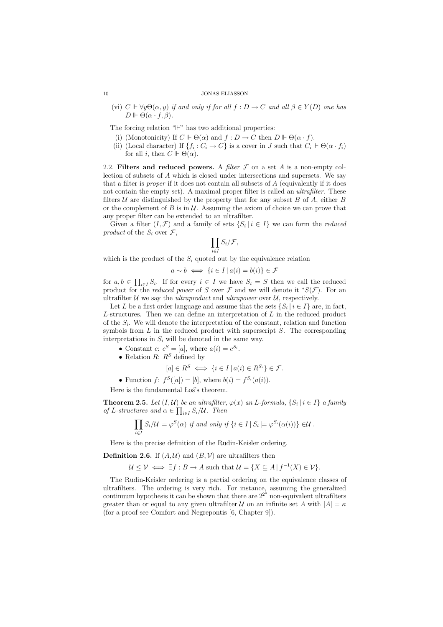(vi)  $C \Vdash \forall y \Theta(\alpha, y)$  if and only if for all  $f : D \to C$  and all  $\beta \in Y(D)$  one has  $D \Vdash \Theta(\alpha \cdot f, \beta).$ 

The forcing relation  $H$ " has two additional properties:

- (i) (Monotonicity) If  $C \Vdash \Theta(\alpha)$  and  $f : D \to C$  then  $D \Vdash \Theta(\alpha \cdot f)$ .
- (ii) (Local character) If  $\{f_i : C_i \to C\}$  is a cover in J such that  $C_i \Vdash \Theta(\alpha \cdot f_i)$ for all *i*, then  $C \Vdash \Theta(\alpha)$ .

2.2. Filters and reduced powers. A filter  $\mathcal F$  on a set  $A$  is a non-empty collection of subsets of A which is closed under intersections and supersets. We say that a filter is *proper* if it does not contain all subsets of  $A$  (equivalently if it does not contain the empty set). A maximal proper filter is called an ultrafilter. These filters  $U$  are distinguished by the property that for any subset  $B$  of  $A$ , either  $B$ or the complement of  $B$  is in  $U$ . Assuming the axiom of choice we can prove that any proper filter can be extended to an ultrafilter.

Given a filter  $(I, \mathcal{F})$  and a family of sets  $\{S_i | i \in I\}$  we can form the *reduced* product of the  $S_i$  over  $\mathcal{F}$ ,

$$
\prod_{i\in I}S_i/\mathcal{F},
$$

which is the product of the  $S_i$  quoted out by the equivalence relation

$$
a \sim b \iff \{i \in I \mid a(i) = b(i)\} \in \mathcal{F}
$$

for  $a, b \in \prod_{i \in I} S_i$ . If for every  $i \in I$  we have  $S_i = S$  then we call the reduced product for the *reduced power* of S over F and we will denote it  ${}^*S(\mathcal{F})$ . For an ultrafilter U we say the *ultraproduct* and *ultrapower* over U, respectively.

Let L be a first order language and assume that the sets  $\{S_i | i \in I\}$  are, in fact, L-structures. Then we can define an interpretation of  $L$  in the reduced product of the  $S_i$ . We will denote the interpretation of the constant, relation and function symbols from  $L$  in the reduced product with superscript  $S$ . The corresponding interpretations in  $S_i$  will be denoted in the same way.

- Constant  $c: c^S = [a]$ , where  $a(i) = c^{S_i}$ .
- Relation  $R: R<sup>S</sup>$  defined by

$$
[a] \in R^S \iff \{i \in I \mid a(i) \in R^{S_i}\} \in \mathcal{F}.
$$

• Function  $f: f^S([a]) = [b]$ , where  $b(i) = f^{S_i}(a(i))$ .

Here is the fundamental Los's theorem.

**Theorem 2.5.** Let  $(I, \mathcal{U})$  be an ultrafilter,  $\varphi(x)$  an L-formula,  $\{S_i | i \in I\}$  a family of L-structures and  $\alpha \in \prod_{i \in I} S_i/\mathcal{U}$ . Then

$$
\prod_{i \in I} S_i/\mathcal{U} \models \varphi^S(\alpha) \text{ if and only if } \{i \in I \mid S_i \models \varphi^{S_i}(\alpha(i))\} \in \mathcal{U}.
$$

Here is the precise definition of the Rudin-Keisler ordering.

**Definition 2.6.** If  $(A, \mathcal{U})$  and  $(B, \mathcal{V})$  are ultrafilters then

$$
\mathcal{U} \leq \mathcal{V} \iff \exists f : B \to A \text{ such that } \mathcal{U} = \{ X \subseteq A \mid f^{-1}(X) \in \mathcal{V} \}.
$$

The Rudin-Keisler ordering is a partial ordering on the equivalence classes of ultrafilters. The ordering is very rich. For instance, assuming the generalized continuum hypothesis it can be shown that there are  $2^{2^{\kappa}}$  non-equivalent ultrafilters greater than or equal to any given ultrafilter U on an infinite set A with  $|A| = \kappa$ (for a proof see Comfort and Negrepontis [6, Chapter 9]).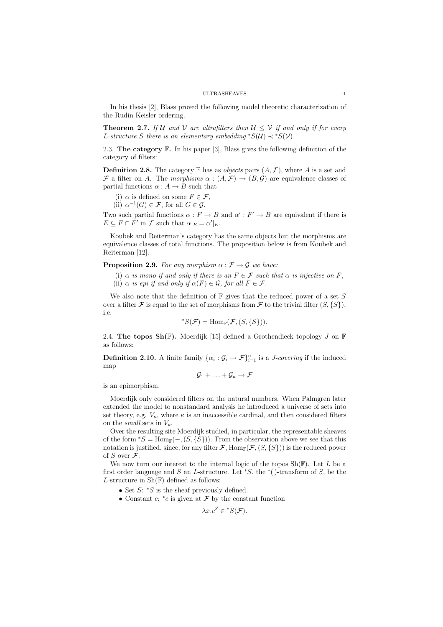In his thesis [2], Blass proved the following model theoretic characterization of the Rudin-Keisler ordering.

**Theorem 2.7.** If U and V are ultrafilters then  $U \leq V$  if and only if for every L-structure S there is an elementary embedding \* $S(\mathcal{U}) \prec *S(\mathcal{V})$ .

2.3. The category  $\mathbb{F}$ . In his paper [3], Blass gives the following definition of the category of filters:

**Definition 2.8.** The category  $\mathbb F$  has as *objects* pairs  $(A, \mathcal{F})$ , where A is a set and F a filter on A. The morphisms  $\alpha : (A, \mathcal{F}) \to (B, \mathcal{G})$  are equivalence classes of partial functions  $\alpha : A \to B$  such that

(i)  $\alpha$  is defined on some  $F \in \mathcal{F}$ ,

(ii)  $\alpha^{-1}(G) \in \mathcal{F}$ , for all  $G \in \mathcal{G}$ .

Two such partial functions  $\alpha : F \to B$  and  $\alpha' : F' \to B$  are equivalent if there is  $E \subseteq F \cap F'$  in  $\mathcal F$  such that  $\alpha|_E = \alpha'|_E$ .

Koubek and Reiterman's category has the same objects but the morphisms are equivalence classes of total functions. The proposition below is from Koubek and Reiterman [12].

**Proposition 2.9.** For any morphism  $\alpha : \mathcal{F} \to \mathcal{G}$  we have:

- (i)  $\alpha$  is mono if and only if there is an  $F \in \mathcal{F}$  such that  $\alpha$  is injective on F.
- (ii)  $\alpha$  is epi if and only if  $\alpha(F) \in \mathcal{G}$ , for all  $F \in \mathcal{F}$ .

We also note that the definition of  $\mathbb F$  gives that the reduced power of a set S over a filter  $\mathcal F$  is equal to the set of morphisms from  $\mathcal F$  to the trivial filter  $(S, \{S\})$ , i.e.

$$
^*S(\mathcal{F}) = \text{Hom}_{\mathbb{F}}(\mathcal{F}, (S, \{S\})).
$$

2.4. The topos  $\text{Sh}(\mathbb{F})$ . Moerdijk [15] defined a Grothendieck topology J on  $\mathbb{F}$ as follows:

**Definition 2.10.** A finite family  $\{\alpha_i : \mathcal{G}_i \to \mathcal{F}\}_{i=1}^n$  is a *J-covering* if the induced map

$$
\mathcal{G}_1 + \ldots + \mathcal{G}_n \to \mathcal{F}
$$

is an epimorphism.

Moerdijk only considered filters on the natural numbers. When Palmgren later extended the model to nonstandard analysis he introduced a universe of sets into set theory, e.g.  $V_{\kappa}$ , where  $\kappa$  is an inaccessible cardinal, and then considered filters on the *small* sets in  $V_{\kappa}$ .

Over the resulting site Moerdijk studied, in particular, the representable sheaves of the form \*S = Hom<sub>F</sub>(-,  $(S, \{S\})$ ). From the observation above we see that this notation is justified, since, for any filter F,  $\text{Hom}_{\mathbb{F}}(\mathcal{F}, (S, \{S\}))$  is the reduced power of S over  $\mathcal{F}$ .

We now turn our interest to the internal logic of the topos  $\text{Sh}(\mathbb{F})$ . Let L be a first order language and S an L-structure. Let  $*S$ , the  $*$  ()-transform of S, be the L-structure in  $\text{Sh}(\mathbb{F})$  defined as follows:

- Set  $S: *S$  is the sheaf previously defined.
- Constant  $c: \, ^*c$  is given at  $\mathcal F$  by the constant function

 $\lambda x.c^S \in {^*S(\mathcal{F})}.$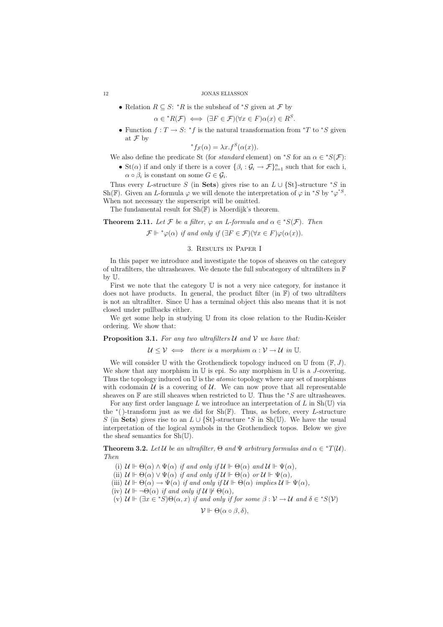• Relation  $R \subseteq S$ : \* $R$  is the subsheaf of \* $S$  given at  $\mathcal F$  by

$$
\alpha \in {}^*R(\mathcal{F}) \iff (\exists F \in \mathcal{F})(\forall x \in F)\alpha(x) \in R^S.
$$

• Function  $f: T \to S: *f$  is the natural transformation from  $*T$  to  $*S$  given at  $\mathcal F$  by

$$
{}^*f_{\mathcal{F}}(\alpha) = \lambda x.f^S(\alpha(x)).
$$

We also define the predicate St (for *standard* element) on <sup>\*</sup>S for an  $\alpha \in {^*S(\mathcal{F})}$ :

• St( $\alpha$ ) if and only if there is a cover  $\{\beta_i : \mathcal{G}_i \to \mathcal{F}\}_{i=1}^n$  such that for each i,  $\alpha \circ \beta_i$  is constant on some  $G \in \mathcal{G}_i$ .

Thus every L-structure S (in Sets) gives rise to an  $L \cup \{St\}$ -structure \*S in Sh(F). Given an L-formula  $\varphi$  we will denote the interpretation of  $\varphi$  in \*S by \* $\varphi$ <sup>\*S</sup>. When not necessary the superscript will be omitted.

The fundamental result for  $\text{Sh}(\mathbb{F})$  is Moerdijk's theorem.

**Theorem 2.11.** Let F be a filter,  $\varphi$  an L-formula and  $\alpha \in {^*S(\mathcal{F})}$ . Then

 $\mathcal{F} \Vdash \text{``}\varphi(\alpha)$  if and only if  $(\exists F \in \mathcal{F})(\forall x \in F)\varphi(\alpha(x)).$ 

# 3. Results in Paper I

In this paper we introduce and investigate the topos of sheaves on the category of ultrafilters, the ultrasheaves. We denote the full subcategory of ultrafilters in F by U.

First we note that the category U is not a very nice category, for instance it does not have products. In general, the product filter (in  $\mathbb{F}$ ) of two ultrafilters is not an ultrafilter. Since U has a terminal object this also means that it is not closed under pullbacks either.

We get some help in studying U from its close relation to the Rudin-Keisler ordering. We show that:

# **Proposition 3.1.** For any two ultrafilters  $U$  and  $V$  we have that:

 $U \leq V \iff$  there is a morphism  $\alpha : V \to U$  in U.

We will consider U with the Grothendieck topology induced on U from  $(\mathbb{F}, J)$ . We show that any morphism in  $\mathbb U$  is epi. So any morphism in  $\mathbb U$  is a *J*-covering. Thus the topology induced on  $U$  is the *atomic* topology where any set of morphisms with codomain  $U$  is a covering of  $U$ . We can now prove that all representable sheaves on  $\mathbb F$  are still sheaves when restricted to U. Thus the  $*S$  are ultrasheaves.

For any first order language  $L$  we introduce an interpretation of  $L$  in  $\text{Sh}(\mathbb{U})$  via the  $*($ )-transform just as we did for Sh(F). Thus, as before, every L-structure S (in Sets) gives rise to an  $L \cup \{St\}$ -structure \*S in Sh(U). We have the usual interpretation of the logical symbols in the Grothendieck topos. Below we give the sheaf semantics for Sh(U).

**Theorem 3.2.** Let U be an ultrafilter,  $\Theta$  and  $\Psi$  arbitrary formulas and  $\alpha \in {}^*T(\mathcal{U})$ . Then

- (i)  $\mathcal{U} \Vdash \Theta(\alpha) \wedge \Psi(\alpha)$  if and only if  $\mathcal{U} \Vdash \Theta(\alpha)$  and  $\mathcal{U} \Vdash \Psi(\alpha)$ ,
- (ii)  $\mathcal{U} \Vdash \Theta(\alpha) \vee \Psi(\alpha)$  if and only if  $\mathcal{U} \Vdash \Theta(\alpha)$  or  $\mathcal{U} \Vdash \Psi(\alpha)$ ,
- (iii)  $\mathcal{U} \Vdash \Theta(\alpha) \to \Psi(\alpha)$  if and only if  $\mathcal{U} \Vdash \Theta(\alpha)$  implies  $\mathcal{U} \Vdash \Psi(\alpha)$ ,
- (iv)  $\mathcal{U} \Vdash \neg \Theta(\alpha)$  if and only if  $\mathcal{U} \not\Vdash \Theta(\alpha)$ ,
- (v)  $\mathcal{U} \Vdash (\exists x \in {}^*S) \Theta(\alpha, x)$  if and only if for some  $\beta : \mathcal{V} \to \mathcal{U}$  and  $\delta \in {}^*S(\mathcal{V})$

 $V \Vdash \Theta(\alpha \circ \beta, \delta),$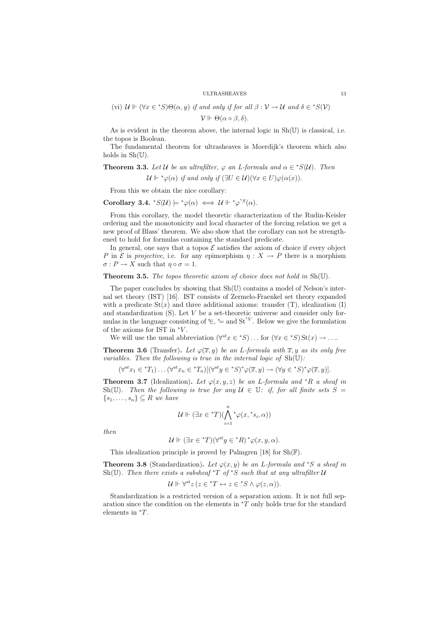$$
(vi) \mathcal{U} \Vdash (\forall x \in {^*S})\Theta(\alpha, y) \text{ if and only if for all } \beta : \mathcal{V} \to \mathcal{U} \text{ and } \delta \in {^*S}(\mathcal{V})
$$
  

$$
\mathcal{V} \Vdash \Theta(\alpha \circ \beta, \delta).
$$

As is evident in the theorem above, the internal logic in Sh(U) is classical, i.e. the topos is Boolean.

The fundamental theorem for ultrasheaves is Moerdijk's theorem which also holds in  $\text{Sh}(\mathbb{U})$ .

**Theorem 3.3.** Let U be an ultrafilter,  $\varphi$  an L-formula and  $\alpha \in {^*S(\mathcal{U})}$ . Then  $\mathcal{U} \Vdash {^*\varphi(\alpha)}$  if and only if  $(\exists U \in \mathcal{U})(\forall x \in U)\varphi(\alpha(x)).$ 

From this we obtain the nice corollary:

Corollary 3.4.  $^*S(\mathcal{U}) \models^* \varphi(\alpha) \iff \mathcal{U} \Vdash^* \varphi^{*S}(\alpha)$ .

From this corollary, the model theoretic characterization of the Rudin-Keisler ordering and the monotonicity and local character of the forcing relation we get a new proof of Blass' theorem. We also show that the corollary can not be strengthened to hold for formulas containing the standard predicate.

In general, one says that a topos  $\mathcal E$  satisfies the axiom of choice if every object P in E is projective, i.e. for any epimorphism  $\eta: X \to P$  there is a morphism  $\sigma: P \to X$  such that  $\eta \circ \sigma = 1$ .

**Theorem 3.5.** The topos theoretic axiom of choice does not hold in  $Sh(U)$ .

The paper concludes by showing that Sh(U) contains a model of Nelson's internal set theory (IST) [16]. IST consists of Zermelo-Fraenkel set theory expanded with a predicate  $St(x)$  and three additional axioms: transfer (T), idealization (I) and standardization  $(S)$ . Let  $V$  be a set-theoretic universe and consider only formulas in the language consisting of  $\mathcal{F}$ ,  $\mathcal{F}$  and  $\mathbf{St}^{\ast V}$ . Below we give the formulation of the axioms for IST in  ${}^\ast V.$ 

We will use the usual abbreviation  $(\forall^{\scriptstyle st} x \in {^*S}) \dots$  for  $(\forall x \in {^*S})$  St $(x) \to \dots$ 

**Theorem 3.6** (Transfer). Let  $\varphi(\overline{x}, y)$  be an L-formula with  $\overline{x}, y$  as its only free variables. Then the following is true in the internal logic of  $Sh(U)$ :

$$
(\forall^{st} x_1 \in {}^*T_1) \dots (\forall^{st} x_n \in {}^*T_n) [(\forall^{st} y \in {}^*S)^* \varphi(\overline{x}, y) \to (\forall y \in {}^*S)^* \varphi(\overline{x}, y)].
$$

**Theorem 3.7** (Idealization). Let  $\varphi(x, y, z)$  be an L-formula and \*R a sheaf in Sh(U). Then the following is true for any  $U \in \mathbb{U}$ : if, for all finite sets  $S =$  ${s_1, \ldots, s_n} \subseteq R$  we have

$$
\mathcal{U} \Vdash (\exists x \in {}^*\!T)(\bigwedge_{i=1}^n {}^*\varphi(x, {}^*s_i, \alpha))
$$

then

$$
\mathcal{U} \Vdash (\exists x \in {}^*T)(\forall^{st} y \in {}^*R) {}^* \varphi(x, y, \alpha).
$$

This idealization principle is proved by Palmgren [18] for  $\text{Sh}(\mathbb{F})$ .

**Theorem 3.8** (Standardization). Let  $\varphi(x, y)$  be an L-formula and \*S a sheaf in Sh(U). Then there exists a subsheaf \*T of \*S such that at any ultrafilter  $U$ 

$$
\mathcal{U} \Vdash \forall^{st} z \ (z \in {}^*T \leftrightarrow z \in {}^*S \land \varphi(z, \alpha)).
$$

Standardization is a restricted version of a separation axiom. It is not full separation since the condition on the elements in  $\overline{r}$  only holds true for the standard elements in <sup>∗</sup>T.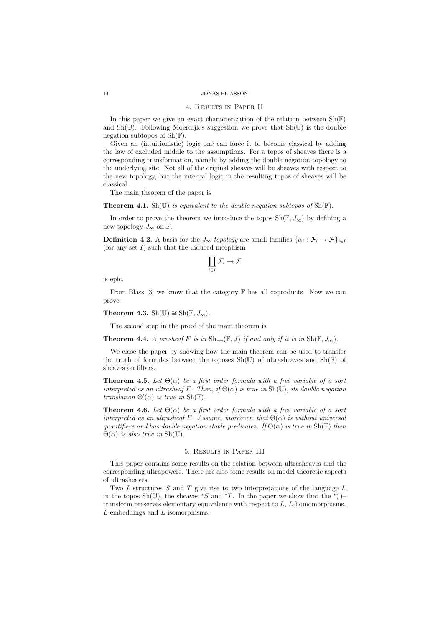### 4. Results in Paper II

In this paper we give an exact characterization of the relation between  $\text{Sh}(\mathbb{F})$ and  $\text{Sh}(\mathbb{U})$ . Following Moerdijk's suggestion we prove that  $\text{Sh}(\mathbb{U})$  is the double negation subtopos of  $\text{Sh}(\mathbb{F})$ .

Given an (intuitionistic) logic one can force it to become classical by adding the law of excluded middle to the assumptions. For a topos of sheaves there is a corresponding transformation, namely by adding the double negation topology to the underlying site. Not all of the original sheaves will be sheaves with respect to the new topology, but the internal logic in the resulting topos of sheaves will be classical.

The main theorem of the paper is

# **Theorem 4.1.** Sh(U) is equivalent to the double negation subtopos of  $\text{Sh}(\mathbb{F})$ .

In order to prove the theorem we introduce the topos  $\text{Sh}(\mathbb{F}, J_{\infty})$  by defining a new topology  $J_{\infty}$  on  $\mathbb{F}$ .

**Definition 4.2.** A basis for the  $J_{\infty}$ -topology are small families  $\{\alpha_i : \mathcal{F}_i \to \mathcal{F}\}_{i \in I}$ (for any set  $I$ ) such that the induced morphism

$$
\coprod_{i\in I}\mathcal{F}_i\to\mathcal{F}
$$

is epic.

From Blass  $[3]$  we know that the category  $\mathbb F$  has all coproducts. Now we can prove:

Theorem 4.3. Sh(U)  $\cong$  Sh(F,  $J_{\infty}$ ).

The second step in the proof of the main theorem is:

**Theorem 4.4.** A presheaf F is in  $\text{Sh}_{\neg}(\mathbb{F}, J)$  if and only if it is in  $\text{Sh}(\mathbb{F}, J_{\infty})$ .

We close the paper by showing how the main theorem can be used to transfer the truth of formulas between the toposes  $\text{Sh}(\mathbb{U})$  of ultrasheaves and  $\text{Sh}(\mathbb{F})$  of sheaves on filters.

**Theorem 4.5.** Let  $\Theta(\alpha)$  be a first order formula with a free variable of a sort interpreted as an ultrasheaf F. Then, if  $\Theta(\alpha)$  is true in Sh(U), its double negation translation  $\Theta'(\alpha)$  is true in  $\text{Sh}(\mathbb{F})$ .

**Theorem 4.6.** Let  $\Theta(\alpha)$  be a first order formula with a free variable of a sort interpreted as an ultrasheaf F. Assume, moreover, that  $\Theta(\alpha)$  is without universal quantifiers and has double negation stable predicates. If  $\Theta(\alpha)$  is true in  $\text{Sh}(\mathbb{F})$  then  $\Theta(\alpha)$  is also true in Sh(U).

# 5. Results in Paper III

This paper contains some results on the relation between ultrasheaves and the corresponding ultrapowers. There are also some results on model theoretic aspects of ultrasheaves.

Two  $L$ -structures  $S$  and  $T$  give rise to two interpretations of the language  $L$ in the topos Sh(U), the sheaves  $*S$  and  $*T$ . In the paper we show that the  $*($ )– transform preserves elementary equivalence with respect to  $L$ ,  $L$ -homomorphisms, L-embeddings and L-isomorphisms.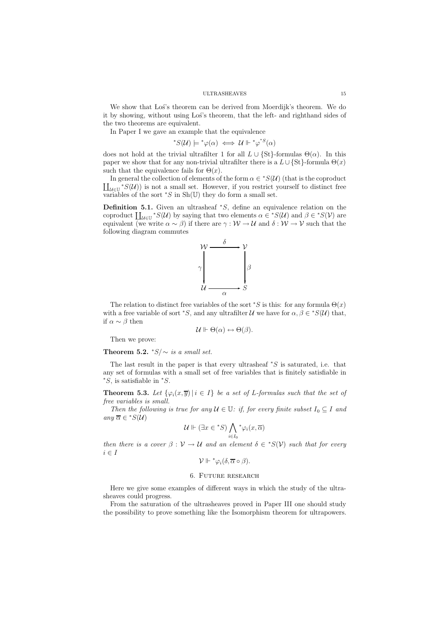We show that Los's theorem can be derived from Moerdijk's theorem. We do it by showing, without using Los's theorem, that the left- and righthand sides of the two theorems are equivalent.

In Paper I we gave an example that the equivalence

$$
^*S(\mathcal{U})\models^*\varphi(\alpha)\iff\mathcal{U}\Vdash^*\varphi^{^*S}(\alpha)
$$

does not hold at the trivial ultrafilter 1 for all  $L \cup \{St\}$ -formulas  $\Theta(\alpha)$ . In this paper we show that for any non-trivial ultrafilter there is a  $L \cup \{St\}$ -formula  $\Theta(x)$ such that the equivalence fails for  $\Theta(x)$ .

In general the collection of elements of the form  $\alpha \in {^*S(\mathcal{U})}$  (that is the coproduct  $\coprod_{\mathcal{U}\in\mathbb{U}}{}^*S(\mathcal{U})$  is not a small set. However, if you restrict yourself to distinct free variables of the sort  $\mathscr{S}$  in Sh(U) they do form a small set.

**Definition 5.1.** Given an ultrasheaf  $*S$ , define an equivalence relation on the coproduct  $\coprod_{\mathcal{U}\in\mathbb{U}}$  \* $S(\mathcal{U})$  by saying that two elements  $\alpha \in {^*S(\mathcal{U})}$  and  $\beta \in {^*S(\mathcal{V})}$  are equivalent (we write  $\alpha \sim \beta$ ) if there are  $\gamma : \mathcal{W} \to \mathcal{U}$  and  $\delta : \mathcal{W} \to \mathcal{V}$  such that the following diagram commutes



The relation to distinct free variables of the sort  $\mathscr{S}$  is this: for any formula  $\Theta(x)$ with a free variable of sort \*S, and any ultrafilter U we have for  $\alpha, \beta \in {^*S(\mathcal{U})}$  that, if  $\alpha \sim \beta$  then

$$
\mathcal{U} \Vdash \Theta(\alpha) \leftrightarrow \Theta(\beta).
$$

Then we prove:

Theorem 5.2.  $*S/\sim$  is a small set.

The last result in the paper is that every ultrasheaf  $*S$  is saturated, i.e. that any set of formulas with a small set of free variables that is finitely satisfiable in  $*S$ , is satisfiable in  $*S$ .

**Theorem 5.3.** Let  $\{\varphi_i(x, \overline{y}) \mid i \in I\}$  be a set of L-formulas such that the set of free variables is small.

Then the following is true for any  $\mathcal{U} \in \mathbb{U}$ : if, for every finite subset  $I_0 \subset I$  and any  $\overline{\alpha} \in {}^*S(\mathcal{U})$ 

$$
\mathcal{U} \Vdash (\exists x \in {^*S}) \bigwedge_{i \in I_0} {^* \varphi_i(x, \overline{\alpha})}
$$

then there is a cover  $\beta : \mathcal{V} \to \mathcal{U}$  and an element  $\delta \in {^*S(\mathcal{V})}$  such that for every  $i \in I$ 

$$
\mathcal{V} \Vdash {^* \varphi_i(\delta, \overline{\alpha} \circ \beta)}.
$$

# 6. Future research

Here we give some examples of different ways in which the study of the ultrasheaves could progress.

From the saturation of the ultrasheaves proved in Paper III one should study the possibility to prove something like the Isomorphism theorem for ultrapowers.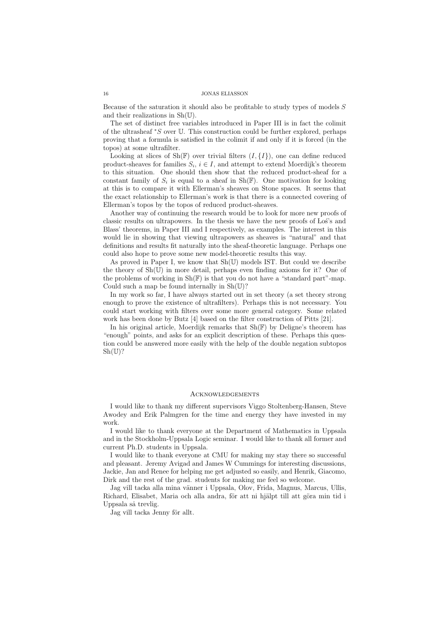Because of the saturation it should also be profitable to study types of models  $S$ and their realizations in Sh(U).

The set of distinct free variables introduced in Paper III is in fact the colimit of the ultrasheaf <sup>∗</sup>S over U. This construction could be further explored, perhaps proving that a formula is satisfied in the colimit if and only if it is forced (in the topos) at some ultrafilter.

Looking at slices of  $\text{Sh}(\mathbb{F})$  over trivial filters  $(I, \{I\})$ , one can define reduced product-sheaves for families  $S_i$ ,  $i \in I$ , and attempt to extend Moerdijk's theorem to this situation. One should then show that the reduced product-sheaf for a constant family of  $S_i$  is equal to a sheaf in Sh(F). One motivation for looking at this is to compare it with Ellerman's sheaves on Stone spaces. It seems that the exact relationship to Ellerman's work is that there is a connected covering of Ellerman's topos by the topos of reduced product-sheaves.

Another way of continuing the research would be to look for more new proofs of classic results on ultrapowers. In the thesis we have the new proofs of Los's and Blass' theorems, in Paper III and I respectively, as examples. The interest in this would lie in showing that viewing ultrapowers as sheaves is "natural" and that definitions and results fit naturally into the sheaf-theoretic language. Perhaps one could also hope to prove some new model-theoretic results this way.

As proved in Paper I, we know that  $\text{Sh}(\mathbb{U})$  models IST. But could we describe the theory of  $\text{Sh}(\mathbb{U})$  in more detail, perhaps even finding axioms for it? One of the problems of working in  $\text{Sh}(\mathbb{F})$  is that you do not have a "standard part"-map. Could such a map be found internally in  $\text{Sh}(\mathbb{U})$ ?

In my work so far, I have always started out in set theory (a set theory strong enough to prove the existence of ultrafilters). Perhaps this is not necessary. You could start working with filters over some more general category. Some related work has been done by Butz [4] based on the filter construction of Pitts [21].

In his original article, Moerdijk remarks that  $\text{Sh}(\mathbb{F})$  by Deligne's theorem has "enough" points, and asks for an explicit description of these. Perhaps this question could be answered more easily with the help of the double negation subtopos  $\mathrm{Sh}(\mathbb{U})$ ?

### **ACKNOWLEDGEMENTS**

I would like to thank my different supervisors Viggo Stoltenberg-Hansen, Steve Awodey and Erik Palmgren for the time and energy they have invested in my work.

I would like to thank everyone at the Department of Mathematics in Uppsala and in the Stockholm-Uppsala Logic seminar. I would like to thank all former and current Ph.D. students in Uppsala.

I would like to thank everyone at CMU for making my stay there so successful and pleasant. Jeremy Avigad and James W Cummings for interesting discussions, Jackie, Jan and Renee for helping me get adjusted so easily, and Henrik, Giacomo, Dirk and the rest of the grad. students for making me feel so welcome.

Jag vill tacka alla mina vänner i Uppsala, Olov, Frida, Magnus, Marcus, Ullis, Richard, Elisabet, Maria och alla andra, för att ni hjälpt till att göra min tid i Uppsala så trevlig.

Jag vill tacka Jenny för allt.